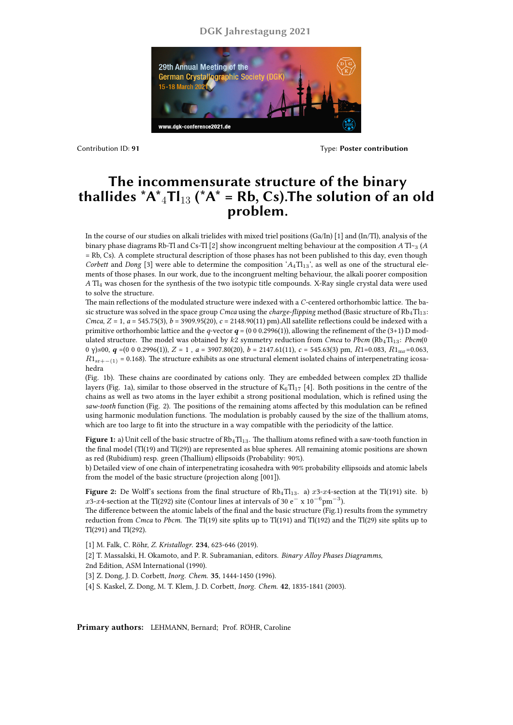## **DGK Jahrestagung 2021**



Contribution ID: **91** Type: **Poster contribution**

## **The incommensurate structure of the binary thallides**  $^{\ast}A^{\ast}{}_{4}TI_{13}$  **(** $^{\ast}A^{\ast}$  **= Rb, Cs). The solution of an old problem.**

In the course of our studies on alkali trielides with mixed triel positions (Ga/In) [1] and (In/Tl), analysis of the binary phase diagrams Rb-Tl and Cs-Tl [2] show incongruent melting behaviour at the composition *A* Tl~<sup>3</sup> (*A* = Rb, Cs). A complete structural description of those phases has not been published to this day, even though *Corbett* and *Dong* [3] were able to determine the composition ' $A_4$ Tl<sub>13</sub>', as well as one of the structural elements of those phases. In our work, due to the incongruent melting behaviour, the alkali poorer composition *A* Tl<sup>4</sup> was chosen for the synthesis of the two isotypic title compounds. X-Ray single crystal data were used to solve the structure.

The main reflections of the modulated structure were indexed with a *C*-centered orthorhombic lattice. The basic structure was solved in the space group *Cmca* using the *charge-flipping* method (Basic structure of Rb<sub>4</sub>Tl<sub>13</sub>: *Cmca*, *Z* = 1, *a* = 545.75(3), *b* = 3909.95(20), *c* = 2148.90(11) pm).All satellite reflections could be indexed with a primitive orthorhombic lattice and the *q*-vector  $q = (0\ 0\ 0.2996(1))$ , allowing the refinement of the (3+1) D modulated structure. The model was obtained by *k*2 symmetry reduction from *Cmca* to *Pbcm* (Rb<sub>4</sub>Tl<sub>13</sub>: *Pbcm*(0 0 γ)*s*00, *q* =(0 0 0.2996(1)), *Z* = 1 , *a* = 3907.80(20), *b* = 2147.61(11), *c* = 545.63(3) pm, *R*1=0.083, *R*1mr=0.063, *R*1<sub>sr+−</sub>(1) = 0.168). The structure exhibits as one structural element isolated chains of interpenetrating icosahedra

(Fig. 1b). These chains are coordinated by cations only. They are embedded between complex 2D thallide layers (Fig. 1a), similar to those observed in the structure of  $K_6Tl_{17}$  [4]. Both positions in the centre of the chains as well as two atoms in the layer exhibit a strong positional modulation, which is refined using the *saw-tooth* function (Fig. 2). The positions of the remaining atoms affected by this modulation can be refined using harmonic modulation functions. The modulation is probably caused by the size of the thallium atoms, which are too large to fit into the structure in a way compatible with the periodicity of the lattice.

**Figure 1:** a) Unit cell of the basic structre of Rb<sub>4</sub>Tl<sub>13</sub>. The thallium atoms refined with a saw-tooth function in the final model (Tl(19) and Tl(29)) are represented as blue spheres. All remaining atomic positions are shown as red (Rubidium) resp. green (Thallium) ellipsoids (Probability: 90%).

b) Detailed view of one chain of interpenetrating icosahedra with 90% probability ellipsoids and atomic labels from the model of the basic structure (projection along [001]).

**Figure 2:** De Wolff's sections from the final structure of  $Rb_4Tl_{13}$ . a)  $x3-x4$ -section at the Tl(191) site. b) *x*3-*x*4-section at the Tl(292) site (Contour lines at intervals of 30 e*<sup>−</sup>* x 10*−*<sup>6</sup> pm*−*<sup>3</sup> ).

The difference between the atomic labels of the final and the basic structure (Fig.1) results from the symmetry reduction from *Cmca* to *Pbcm*. The Tl(19) site splits up to Tl(191) and Tl(192) and the Tl(29) site splits up to Tl(291) and Tl(292).

[1] M. Falk, C. Röhr, *Z. Kristallogr*. **234**, 623-646 (2019).

[2] T. Massalski, H. Okamoto, and P. R. Subramanian, editors. *Binary Alloy Phases Diagramms*, 2nd Edition, ASM International (1990).

[3] Z. Dong, J. D. Corbett, *Inorg. Chem.* **35**, 1444-1450 (1996).

[4] S. Kaskel, Z. Dong, M. T. Klem, J. D. Corbett, *Inorg. Chem.* **42**, 1835-1841 (2003).

**Primary authors:** LEHMANN, Bernard; Prof. RÖHR, Caroline